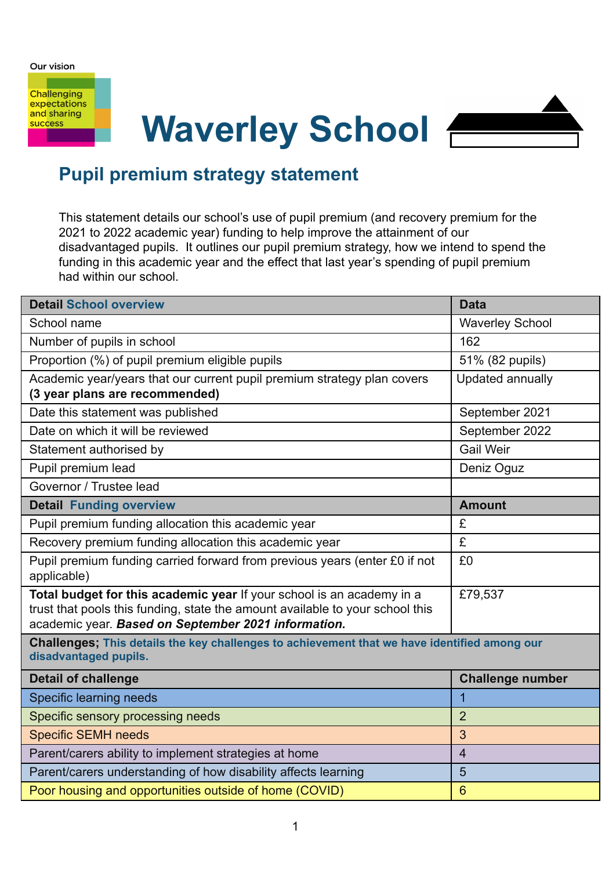Our vision

**Challenging** expectations and sharing **success** 

# **Waverley School**



# **Pupil premium strategy statement**

This statement details our school's use of pupil premium (and recovery premium for the 2021 to 2022 academic year) funding to help improve the attainment of our disadvantaged pupils. It outlines our pupil premium strategy, how we intend to spend the funding in this academic year and the effect that last year's spending of pupil premium had within our school.

| <b>Detail School overview</b>                                                                                                                                                                                 | <b>Data</b>             |  |  |  |  |
|---------------------------------------------------------------------------------------------------------------------------------------------------------------------------------------------------------------|-------------------------|--|--|--|--|
| School name                                                                                                                                                                                                   | <b>Waverley School</b>  |  |  |  |  |
| Number of pupils in school                                                                                                                                                                                    | 162                     |  |  |  |  |
| Proportion (%) of pupil premium eligible pupils                                                                                                                                                               | 51% (82 pupils)         |  |  |  |  |
| Academic year/years that our current pupil premium strategy plan covers<br>(3 year plans are recommended)                                                                                                     | Updated annually        |  |  |  |  |
| Date this statement was published                                                                                                                                                                             | September 2021          |  |  |  |  |
| Date on which it will be reviewed                                                                                                                                                                             | September 2022          |  |  |  |  |
| Statement authorised by                                                                                                                                                                                       | <b>Gail Weir</b>        |  |  |  |  |
| Pupil premium lead                                                                                                                                                                                            | Deniz Oguz              |  |  |  |  |
| Governor / Trustee lead                                                                                                                                                                                       |                         |  |  |  |  |
| <b>Detail Funding overview</b>                                                                                                                                                                                | <b>Amount</b>           |  |  |  |  |
| Pupil premium funding allocation this academic year                                                                                                                                                           | £                       |  |  |  |  |
| Recovery premium funding allocation this academic year                                                                                                                                                        | £                       |  |  |  |  |
| Pupil premium funding carried forward from previous years (enter £0 if not<br>applicable)                                                                                                                     | £0                      |  |  |  |  |
| Total budget for this academic year If your school is an academy in a<br>trust that pools this funding, state the amount available to your school this<br>academic year. Based on September 2021 information. | £79,537                 |  |  |  |  |
| Challenges; This details the key challenges to achievement that we have identified among our<br>disadvantaged pupils.                                                                                         |                         |  |  |  |  |
| <b>Detail of challenge</b>                                                                                                                                                                                    | <b>Challenge number</b> |  |  |  |  |
| Specific learning needs                                                                                                                                                                                       | 1                       |  |  |  |  |
| Specific sensory processing needs                                                                                                                                                                             | $\overline{2}$          |  |  |  |  |
| <b>Specific SEMH needs</b>                                                                                                                                                                                    | 3                       |  |  |  |  |
| Parent/carers ability to implement strategies at home                                                                                                                                                         | $\overline{4}$          |  |  |  |  |
| Parent/carers understanding of how disability affects learning                                                                                                                                                | 5                       |  |  |  |  |
| Poor housing and opportunities outside of home (COVID)                                                                                                                                                        | $6\overline{6}$         |  |  |  |  |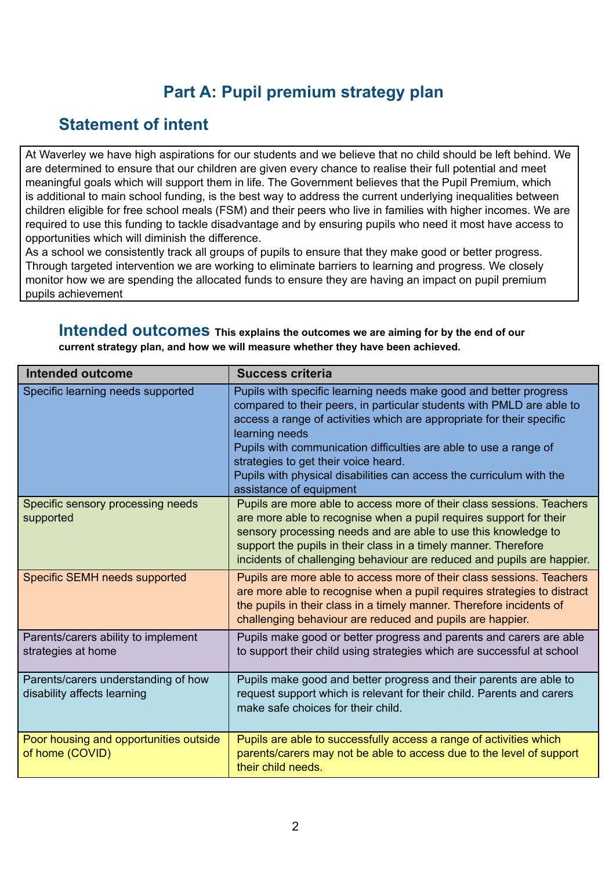# **Part A: Pupil premium strategy plan**

### **Statement of intent**

At Waverley we have high aspirations for our students and we believe that no child should be left behind. We are determined to ensure that our children are given every chance to realise their full potential and meet meaningful goals which will support them in life. The Government believes that the Pupil Premium, which is additional to main school funding, is the best way to address the current underlying inequalities between children eligible for free school meals (FSM) and their peers who live in families with higher incomes. We are required to use this funding to tackle disadvantage and by ensuring pupils who need it most have access to opportunities which will diminish the difference.

As a school we consistently track all groups of pupils to ensure that they make good or better progress. Through targeted intervention we are working to eliminate barriers to learning and progress. We closely monitor how we are spending the allocated funds to ensure they are having an impact on pupil premium pupils achievement

**Intended outcomes This explains the outcomes we are aiming for by the end of our current strategy plan, and how we will measure whether they have been achieved.**

| <b>Intended outcome</b>                                            | <b>Success criteria</b>                                                                                                                                                                                                                                                                                                                                                                                                                               |
|--------------------------------------------------------------------|-------------------------------------------------------------------------------------------------------------------------------------------------------------------------------------------------------------------------------------------------------------------------------------------------------------------------------------------------------------------------------------------------------------------------------------------------------|
| Specific learning needs supported                                  | Pupils with specific learning needs make good and better progress<br>compared to their peers, in particular students with PMLD are able to<br>access a range of activities which are appropriate for their specific<br>learning needs<br>Pupils with communication difficulties are able to use a range of<br>strategies to get their voice heard.<br>Pupils with physical disabilities can access the curriculum with the<br>assistance of equipment |
| Specific sensory processing needs<br>supported                     | Pupils are more able to access more of their class sessions. Teachers<br>are more able to recognise when a pupil requires support for their<br>sensory processing needs and are able to use this knowledge to<br>support the pupils in their class in a timely manner. Therefore<br>incidents of challenging behaviour are reduced and pupils are happier.                                                                                            |
| Specific SEMH needs supported                                      | Pupils are more able to access more of their class sessions. Teachers<br>are more able to recognise when a pupil requires strategies to distract<br>the pupils in their class in a timely manner. Therefore incidents of<br>challenging behaviour are reduced and pupils are happier.                                                                                                                                                                 |
| Parents/carers ability to implement<br>strategies at home          | Pupils make good or better progress and parents and carers are able<br>to support their child using strategies which are successful at school                                                                                                                                                                                                                                                                                                         |
| Parents/carers understanding of how<br>disability affects learning | Pupils make good and better progress and their parents are able to<br>request support which is relevant for their child. Parents and carers<br>make safe choices for their child.                                                                                                                                                                                                                                                                     |
| Poor housing and opportunities outside<br>of home (COVID)          | Pupils are able to successfully access a range of activities which<br>parents/carers may not be able to access due to the level of support<br>their child needs.                                                                                                                                                                                                                                                                                      |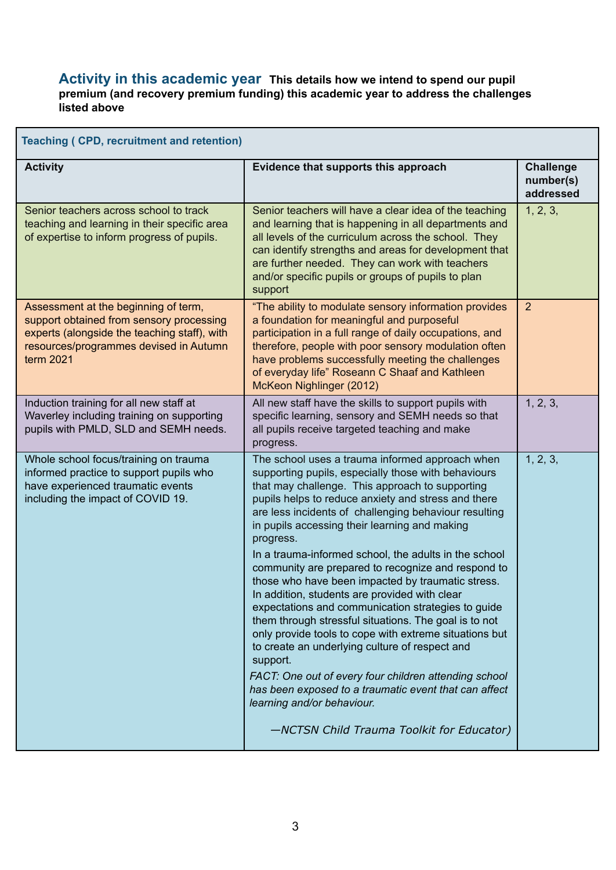#### **Activity in this academic year This details how we intend to spend our pupil premium (and recovery premium funding) this academic year to address the challenges listed above**

i,

| <b>Teaching (CPD, recruitment and retention)</b>                                                                                                                                        |                                                                                                                                                                                                                                                                                                                                                                                                                                                                                                                                                                                                                                                                                                                                                                                                                                                                                                                                                                                                  |                                            |  |  |
|-----------------------------------------------------------------------------------------------------------------------------------------------------------------------------------------|--------------------------------------------------------------------------------------------------------------------------------------------------------------------------------------------------------------------------------------------------------------------------------------------------------------------------------------------------------------------------------------------------------------------------------------------------------------------------------------------------------------------------------------------------------------------------------------------------------------------------------------------------------------------------------------------------------------------------------------------------------------------------------------------------------------------------------------------------------------------------------------------------------------------------------------------------------------------------------------------------|--------------------------------------------|--|--|
| <b>Activity</b>                                                                                                                                                                         | Evidence that supports this approach                                                                                                                                                                                                                                                                                                                                                                                                                                                                                                                                                                                                                                                                                                                                                                                                                                                                                                                                                             | <b>Challenge</b><br>number(s)<br>addressed |  |  |
| Senior teachers across school to track<br>teaching and learning in their specific area<br>of expertise to inform progress of pupils.                                                    | Senior teachers will have a clear idea of the teaching<br>and learning that is happening in all departments and<br>all levels of the curriculum across the school. They<br>can identify strengths and areas for development that<br>are further needed. They can work with teachers<br>and/or specific pupils or groups of pupils to plan<br>support                                                                                                                                                                                                                                                                                                                                                                                                                                                                                                                                                                                                                                             | 1, 2, 3,                                   |  |  |
| Assessment at the beginning of term,<br>support obtained from sensory processing<br>experts (alongside the teaching staff), with<br>resources/programmes devised in Autumn<br>term 2021 | "The ability to modulate sensory information provides<br>a foundation for meaningful and purposeful<br>participation in a full range of daily occupations, and<br>therefore, people with poor sensory modulation often<br>have problems successfully meeting the challenges<br>of everyday life" Roseann C Shaaf and Kathleen<br>McKeon Nighlinger (2012)                                                                                                                                                                                                                                                                                                                                                                                                                                                                                                                                                                                                                                        | $\overline{2}$                             |  |  |
| Induction training for all new staff at<br>Waverley including training on supporting<br>pupils with PMLD, SLD and SEMH needs.                                                           | All new staff have the skills to support pupils with<br>specific learning, sensory and SEMH needs so that<br>all pupils receive targeted teaching and make<br>progress.                                                                                                                                                                                                                                                                                                                                                                                                                                                                                                                                                                                                                                                                                                                                                                                                                          | 1, 2, 3,                                   |  |  |
| Whole school focus/training on trauma<br>informed practice to support pupils who<br>have experienced traumatic events<br>including the impact of COVID 19.                              | The school uses a trauma informed approach when<br>supporting pupils, especially those with behaviours<br>that may challenge. This approach to supporting<br>pupils helps to reduce anxiety and stress and there<br>are less incidents of challenging behaviour resulting<br>in pupils accessing their learning and making<br>progress.<br>In a trauma-informed school, the adults in the school<br>community are prepared to recognize and respond to<br>those who have been impacted by traumatic stress.<br>In addition, students are provided with clear<br>expectations and communication strategies to guide<br>them through stressful situations. The goal is to not<br>only provide tools to cope with extreme situations but<br>to create an underlying culture of respect and<br>support.<br>FACT: One out of every four children attending school<br>has been exposed to a traumatic event that can affect<br>learning and/or behaviour.<br>-NCTSN Child Trauma Toolkit for Educator) | 1, 2, 3,                                   |  |  |
|                                                                                                                                                                                         |                                                                                                                                                                                                                                                                                                                                                                                                                                                                                                                                                                                                                                                                                                                                                                                                                                                                                                                                                                                                  |                                            |  |  |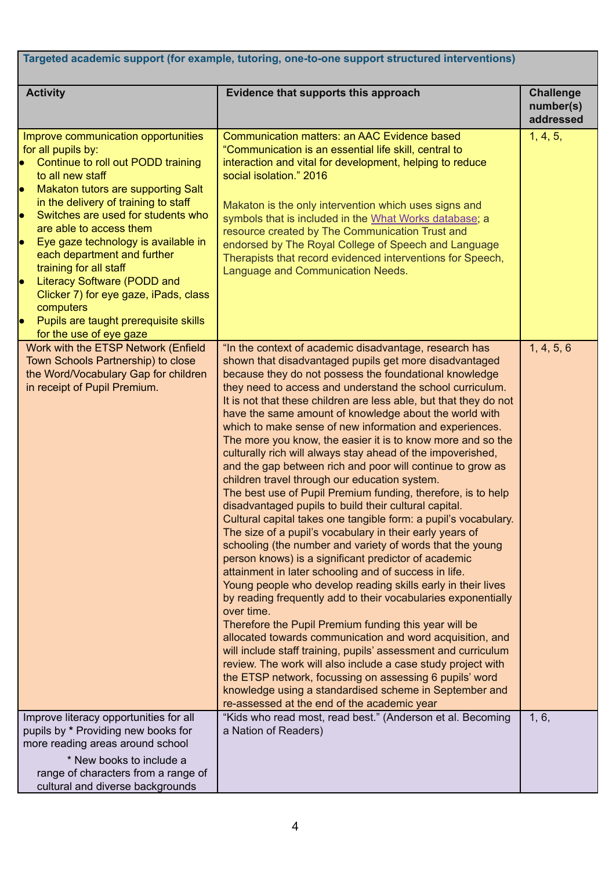| Targeted academic support (for example, tutoring, one-to-one support structured interventions)                                                                                                                                                                                                                                                                                                                                                                                                                                                                    |                                                                                                                                                                                                                                                                                                                                                                                                                                                                                                                                                                                                                                                                                                                                                                                                                                                                                                                                                                                                                                                                                                                                                                                                                                                                                                                                                                                                                                                                                                                                                                                                                                                                                                 |                                            |  |  |
|-------------------------------------------------------------------------------------------------------------------------------------------------------------------------------------------------------------------------------------------------------------------------------------------------------------------------------------------------------------------------------------------------------------------------------------------------------------------------------------------------------------------------------------------------------------------|-------------------------------------------------------------------------------------------------------------------------------------------------------------------------------------------------------------------------------------------------------------------------------------------------------------------------------------------------------------------------------------------------------------------------------------------------------------------------------------------------------------------------------------------------------------------------------------------------------------------------------------------------------------------------------------------------------------------------------------------------------------------------------------------------------------------------------------------------------------------------------------------------------------------------------------------------------------------------------------------------------------------------------------------------------------------------------------------------------------------------------------------------------------------------------------------------------------------------------------------------------------------------------------------------------------------------------------------------------------------------------------------------------------------------------------------------------------------------------------------------------------------------------------------------------------------------------------------------------------------------------------------------------------------------------------------------|--------------------------------------------|--|--|
| <b>Activity</b>                                                                                                                                                                                                                                                                                                                                                                                                                                                                                                                                                   | Evidence that supports this approach                                                                                                                                                                                                                                                                                                                                                                                                                                                                                                                                                                                                                                                                                                                                                                                                                                                                                                                                                                                                                                                                                                                                                                                                                                                                                                                                                                                                                                                                                                                                                                                                                                                            | <b>Challenge</b><br>number(s)<br>addressed |  |  |
| Improve communication opportunities<br>for all pupils by:<br>Continue to roll out PODD training<br>$\bullet$<br>to all new staff<br>Makaton tutors are supporting Salt<br>lo<br>in the delivery of training to staff<br>Switches are used for students who<br>are able to access them<br>Eye gaze technology is available in<br>lo<br>each department and further<br>training for all staff<br><b>Literacy Software (PODD and</b><br>lo<br>Clicker 7) for eye gaze, iPads, class<br>computers<br>Pupils are taught prerequisite skills<br>for the use of eye gaze | Communication matters: an AAC Evidence based<br>"Communication is an essential life skill, central to<br>interaction and vital for development, helping to reduce<br>social isolation." 2016<br>Makaton is the only intervention which uses signs and<br>symbols that is included in the What Works database; a<br>resource created by The Communication Trust and<br>endorsed by The Royal College of Speech and Language<br>Therapists that record evidenced interventions for Speech,<br>Language and Communication Needs.                                                                                                                                                                                                                                                                                                                                                                                                                                                                                                                                                                                                                                                                                                                                                                                                                                                                                                                                                                                                                                                                                                                                                                   | 1, 4, 5,                                   |  |  |
| Work with the ETSP Network (Enfield<br>Town Schools Partnership) to close<br>the Word/Vocabulary Gap for children<br>in receipt of Pupil Premium.                                                                                                                                                                                                                                                                                                                                                                                                                 | "In the context of academic disadvantage, research has<br>shown that disadvantaged pupils get more disadvantaged<br>because they do not possess the foundational knowledge<br>they need to access and understand the school curriculum.<br>It is not that these children are less able, but that they do not<br>have the same amount of knowledge about the world with<br>which to make sense of new information and experiences.<br>The more you know, the easier it is to know more and so the<br>culturally rich will always stay ahead of the impoverished,<br>and the gap between rich and poor will continue to grow as<br>children travel through our education system.<br>The best use of Pupil Premium funding, therefore, is to help<br>disadvantaged pupils to build their cultural capital.<br>Cultural capital takes one tangible form: a pupil's vocabulary.<br>The size of a pupil's vocabulary in their early years of<br>schooling (the number and variety of words that the young<br>person knows) is a significant predictor of academic<br>attainment in later schooling and of success in life.<br>Young people who develop reading skills early in their lives<br>by reading frequently add to their vocabularies exponentially<br>over time.<br>Therefore the Pupil Premium funding this year will be<br>allocated towards communication and word acquisition, and<br>will include staff training, pupils' assessment and curriculum<br>review. The work will also include a case study project with<br>the ETSP network, focussing on assessing 6 pupils' word<br>knowledge using a standardised scheme in September and<br>re-assessed at the end of the academic year | 1, 4, 5, 6                                 |  |  |
| Improve literacy opportunities for all<br>pupils by * Providing new books for<br>more reading areas around school<br>* New books to include a<br>range of characters from a range of<br>cultural and diverse backgrounds                                                                                                                                                                                                                                                                                                                                          | "Kids who read most, read best." (Anderson et al. Becoming<br>a Nation of Readers)                                                                                                                                                                                                                                                                                                                                                                                                                                                                                                                                                                                                                                                                                                                                                                                                                                                                                                                                                                                                                                                                                                                                                                                                                                                                                                                                                                                                                                                                                                                                                                                                              | 1, 6,                                      |  |  |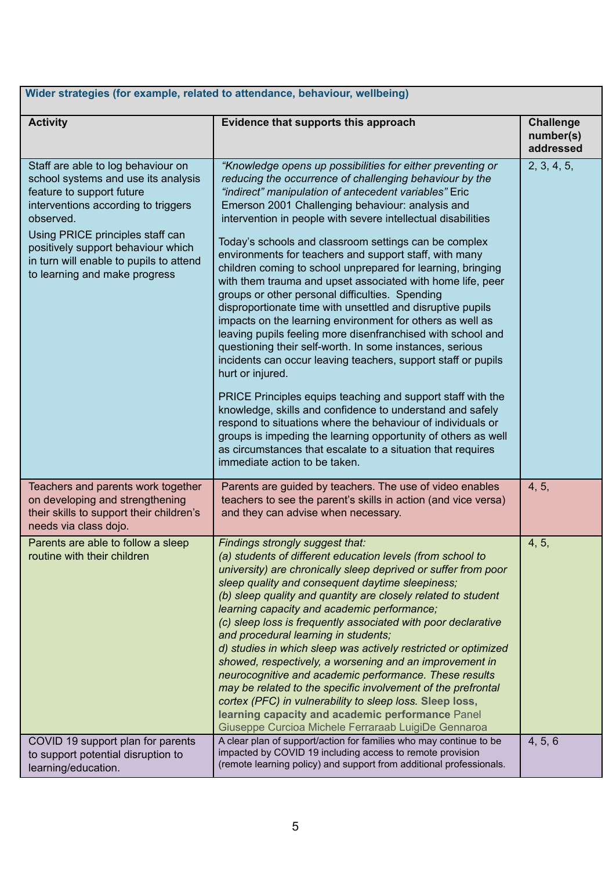| Wider strategies (for example, related to attendance, behaviour, wellbeing)                                                                                                                                                                                                                                      |                                                                                                                                                                                                                                                                                                                                                                                                                                                                                                                                                                                                                                                                                                                                                                                                                                                                                                                                                                                                                                                                                                                                                                                                                                                                                                              |                                            |  |  |
|------------------------------------------------------------------------------------------------------------------------------------------------------------------------------------------------------------------------------------------------------------------------------------------------------------------|--------------------------------------------------------------------------------------------------------------------------------------------------------------------------------------------------------------------------------------------------------------------------------------------------------------------------------------------------------------------------------------------------------------------------------------------------------------------------------------------------------------------------------------------------------------------------------------------------------------------------------------------------------------------------------------------------------------------------------------------------------------------------------------------------------------------------------------------------------------------------------------------------------------------------------------------------------------------------------------------------------------------------------------------------------------------------------------------------------------------------------------------------------------------------------------------------------------------------------------------------------------------------------------------------------------|--------------------------------------------|--|--|
| <b>Activity</b>                                                                                                                                                                                                                                                                                                  | Evidence that supports this approach                                                                                                                                                                                                                                                                                                                                                                                                                                                                                                                                                                                                                                                                                                                                                                                                                                                                                                                                                                                                                                                                                                                                                                                                                                                                         | <b>Challenge</b><br>number(s)<br>addressed |  |  |
| Staff are able to log behaviour on<br>school systems and use its analysis<br>feature to support future<br>interventions according to triggers<br>observed.<br>Using PRICE principles staff can<br>positively support behaviour which<br>in turn will enable to pupils to attend<br>to learning and make progress | "Knowledge opens up possibilities for either preventing or<br>reducing the occurrence of challenging behaviour by the<br>"indirect" manipulation of antecedent variables" Eric<br>Emerson 2001 Challenging behaviour: analysis and<br>intervention in people with severe intellectual disabilities<br>Today's schools and classroom settings can be complex<br>environments for teachers and support staff, with many<br>children coming to school unprepared for learning, bringing<br>with them trauma and upset associated with home life, peer<br>groups or other personal difficulties. Spending<br>disproportionate time with unsettled and disruptive pupils<br>impacts on the learning environment for others as well as<br>leaving pupils feeling more disenfranchised with school and<br>questioning their self-worth. In some instances, serious<br>incidents can occur leaving teachers, support staff or pupils<br>hurt or injured.<br>PRICE Principles equips teaching and support staff with the<br>knowledge, skills and confidence to understand and safely<br>respond to situations where the behaviour of individuals or<br>groups is impeding the learning opportunity of others as well<br>as circumstances that escalate to a situation that requires<br>immediate action to be taken. | 2, 3, 4, 5,                                |  |  |
| Teachers and parents work together<br>on developing and strengthening<br>their skills to support their children's<br>needs via class dojo.                                                                                                                                                                       | Parents are guided by teachers. The use of video enables<br>teachers to see the parent's skills in action (and vice versa)<br>and they can advise when necessary.                                                                                                                                                                                                                                                                                                                                                                                                                                                                                                                                                                                                                                                                                                                                                                                                                                                                                                                                                                                                                                                                                                                                            | 4, 5,                                      |  |  |
| Parents are able to follow a sleep<br>routine with their children                                                                                                                                                                                                                                                | Findings strongly suggest that:<br>(a) students of different education levels (from school to<br>university) are chronically sleep deprived or suffer from poor<br>sleep quality and consequent daytime sleepiness;<br>(b) sleep quality and quantity are closely related to student<br>learning capacity and academic performance;<br>(c) sleep loss is frequently associated with poor declarative<br>and procedural learning in students;<br>d) studies in which sleep was actively restricted or optimized<br>showed, respectively, a worsening and an improvement in<br>neurocognitive and academic performance. These results<br>may be related to the specific involvement of the prefrontal<br>cortex (PFC) in vulnerability to sleep loss. Sleep loss,<br>learning capacity and academic performance Panel<br>Giuseppe Curcioa Michele Ferraraab LuigiDe Gennaroa                                                                                                                                                                                                                                                                                                                                                                                                                                   | 4, 5,                                      |  |  |
| COVID 19 support plan for parents<br>to support potential disruption to<br>learning/education.                                                                                                                                                                                                                   | A clear plan of support/action for families who may continue to be<br>impacted by COVID 19 including access to remote provision<br>(remote learning policy) and support from additional professionals.                                                                                                                                                                                                                                                                                                                                                                                                                                                                                                                                                                                                                                                                                                                                                                                                                                                                                                                                                                                                                                                                                                       | 4, 5, 6                                    |  |  |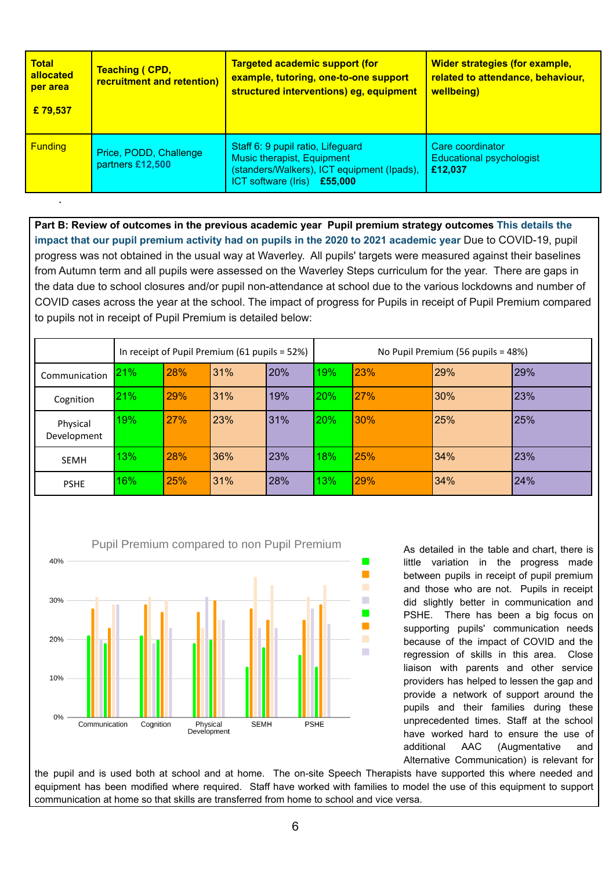| <b>Total</b><br>allocated<br>per area<br>£79,537 | <b>Teaching ( CPD,</b><br>recruitment and retention) | <b>Targeted academic support (for</b><br>example, tutoring, one-to-one support<br>structured interventions) eg, equipment                    | <b>Wider strategies (for example,</b><br>related to attendance, behaviour,<br>wellbeing) |
|--------------------------------------------------|------------------------------------------------------|----------------------------------------------------------------------------------------------------------------------------------------------|------------------------------------------------------------------------------------------|
| <b>Funding</b>                                   | Price, PODD, Challenge<br>partners £12,500           | Staff 6: 9 pupil ratio, Lifeguard<br>Music therapist, Equipment<br>(standers/Walkers), ICT equipment (Ipads),<br>ICT software (Iris) £55,000 | Care coordinator<br>Educational psychologist<br>£12.037                                  |

**Part B: Review of outcomes in the previous academic year Pupil premium strategy outcomes This details the impact that our pupil premium activity had on pupils in the 2020 to 2021 academic year** Due to COVID-19, pupil progress was not obtained in the usual way at Waverley. All pupils' targets were measured against their baselines from Autumn term and all pupils were assessed on the Waverley Steps curriculum for the year. There are gaps in the data due to school closures and/or pupil non-attendance at school due to the various lockdowns and number of COVID cases across the year at the school. The impact of progress for Pupils in receipt of Pupil Premium compared to pupils not in receipt of Pupil Premium is detailed below:

|                         | In receipt of Pupil Premium (61 pupils = 52%) |            |     | No Pupil Premium (56 pupils = 48%) |     |            |     |     |
|-------------------------|-----------------------------------------------|------------|-----|------------------------------------|-----|------------|-----|-----|
| Communication           | <b>21%</b>                                    | <b>28%</b> | 31% | <b>20%</b>                         | 19% | 123%       | 29% | 29% |
| Cognition               | 21%                                           | <b>29%</b> | 31% | 19%                                | 20% | 27%        | 30% | 23% |
| Physical<br>Development | 19%                                           | 27%        | 23% | 31%                                | 20% | 30%        | 25% | 25% |
| <b>SEMH</b>             | 13%                                           | <b>28%</b> | 36% | 23%                                | 18% | 25%        | 34% | 23% |
| <b>PSHE</b>             | 16%                                           | <b>25%</b> | 31% | 28%                                | 13% | <b>29%</b> | 34% | 24% |



**.**

As detailed in the table and chart, there is little variation in the progress made between pupils in receipt of pupil premium and those who are not. Pupils in receipt did slightly better in communication and PSHE. There has been a big focus on supporting pupils' communication needs because of the impact of COVID and the regression of skills in this area. Close liaison with parents and other service providers has helped to lessen the gap and provide a network of support around the pupils and their families during these unprecedented times. Staff at the school have worked hard to ensure the use of additional AAC (Augmentative and Alternative Communication) is relevant for

the pupil and is used both at school and at home. The on-site Speech Therapists have supported this where needed and equipment has been modified where required. Staff have worked with families to model the use of this equipment to support communication at home so that skills are transferred from home to school and vice versa.